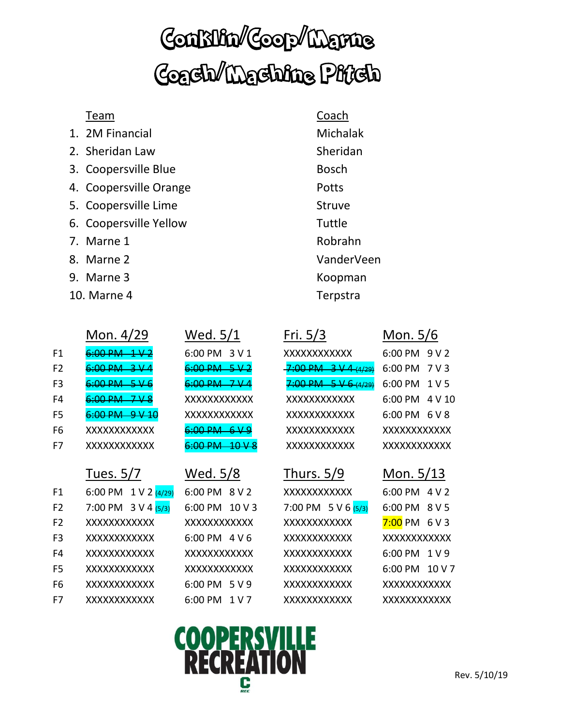## Conklin/Coop/Marne Coach/Machine Pitch

#### Team Coach

- 1. 2M Financial Michalak
- 2. Sheridan Law Sheridan
- 3. Coopersville Blue Bosch
- 4. Coopersville Orange **Potts**
- 5. Coopersville Lime Struve
- 6. Coopersville Yellow Tuttle
- 7. Marne 1 Robrahn
- 
- 9. Marne 3 Koopman
- 10. Marne 4 Terpstra

|                | Mon. 4/29                           | Wed. 5/1                   | Fri. $5/3$                                           | Mon. 5/6                               |
|----------------|-------------------------------------|----------------------------|------------------------------------------------------|----------------------------------------|
| F1             | $6.00$ DM                           | 6:00 PM 3 V 1              | XXXXXXXXXXX                                          | $6:00 \, \text{PM} \, 9 \, \text{V}$ 2 |
| F <sub>2</sub> | $6.00 \text{ PM}$ $3 \text{ V}$ $4$ | $6:00 \, \text{PM}$ 5 V 2  | $7:00 \text{ PM } 3 \text{ V } 4 \rightarrow (4/29)$ | 6:00 PM 7 V 3                          |
| F <sub>3</sub> | 6:00 PM                             | <del>6:00 PM = 7 V 4</del> | $7:00 \text{ PM } 5 \text{ V } 6 (4/29)$             | 6:00 PM 1 V 5                          |
| F4             | <u>GOO DNA</u>                      | XXXXXXXXXXX                | XXXXXXXXXXX                                          | $6:00 \text{ PM}$ 4 V 10               |
| F <sub>5</sub> | $6:00 \, \text{PM}$ 9 V 10          | XXXXXXXXXXX                | XXXXXXXXXXX                                          | $6:00 \text{ PM}$ $6 \text{ V}$ $8$    |
| F <sub>6</sub> | XXXXXXXXXXX                         | $6:00 \, \text{PM}$ 6 V 9  | <b>XXXXXXXXXXXX</b>                                  | XXXXXXXXXXX                            |
| F7             | XXXXXXXXXXX                         |                            | XXXXXXXXXXX                                          | XXXXXXXXXXX                            |

8. Marne 2 VanderVeen

# Wed. 5/1 Fri. 5/3 Mon. 5/6

### Tues. 5/7 Wed. 5/8 Thurs. 5/9 Mon. 5/13

F1 6:00 PM  $1 \vee 2 \frac{(4/29)}{(4/29)}$  6:00 PM  $8 \vee 2$  XXXXXXXXXXXXX 6:00 PM  $4 \vee 2$ F2 7:00 PM  $3$  V 4  $(5/3)$  6:00 PM  $10$  V 3 7:00 PM  $5$  V 6  $(5/3)$  6:00 PM  $8$  V 5 F2 XXXXXXXXXXXX XXXXXXXXXXXX XXXXXXXXXXXX 7:00 PM 6 V 3 F3 XXXXXXXXXXXX 6:00 PM 4 V 6 XXXXXXXXXXXX XXXXXXXXXXXXX F4 XXXXXXXXXXXX XXXXXXXXXXXX XXXXXXXXXXXX 6:00 PM 1 V 9 F5 XXXXXXXXXXXX XXXXXXXXXXXX XXXXXXXXXXXX 6:00 PM 10 V 7 F6 XXXXXXXXXXXX 6:00 PM 5 V 9 XXXXXXXXXXXX XXXXXXXXXXXXX F7 XXXXXXXXXXXX 6:00 PM 1 V 7 XXXXXXXXXXXX XXXXXXXXXXXXX